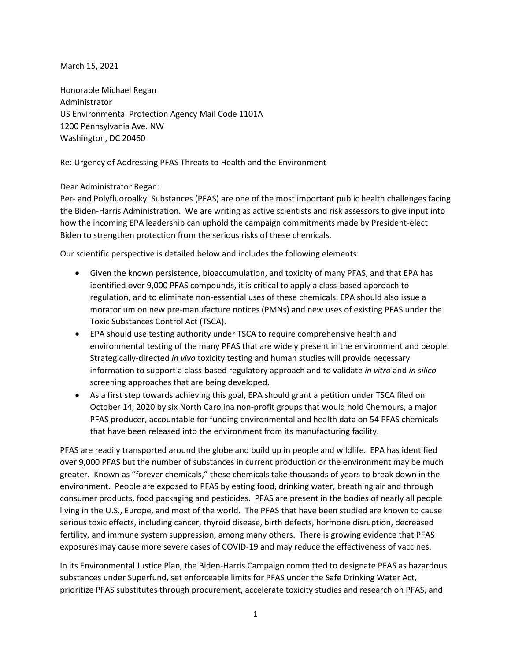March 15, 2021

Honorable Michael Regan Administrator US Environmental Protection Agency Mail Code 1101A 1200 Pennsylvania Ave. NW Washington, DC 20460

Re: Urgency of Addressing PFAS Threats to Health and the Environment

Dear Administrator Regan:

Per- and Polyfluoroalkyl Substances (PFAS) are one of the most important public health challenges facing the Biden-Harris Administration. We are writing as active scientists and risk assessors to give input into how the incoming EPA leadership can uphold the campaign commitments made by President-elect Biden to strengthen protection from the serious risks of these chemicals.

Our scientific perspective is detailed below and includes the following elements:

- Given the known persistence, bioaccumulation, and toxicity of many PFAS, and that EPA has identified over 9,000 PFAS compounds, it is critical to apply a class-based approach to regulation, and to eliminate non-essential uses of these chemicals. EPA should also issue a moratorium on new pre-manufacture notices (PMNs) and new uses of existing PFAS under the Toxic Substances Control Act (TSCA).
- EPA should use testing authority under TSCA to require comprehensive health and environmental testing of the many PFAS that are widely present in the environment and people. Strategically-directed *in vivo* toxicity testing and human studies will provide necessary information to support a class-based regulatory approach and to validate *in vitro* and *in silico* screening approaches that are being developed.
- As a first step towards achieving this goal, EPA should grant a petition under TSCA filed on October 14, 2020 by six North Carolina non-profit groups that would hold Chemours, a major PFAS producer, accountable for funding environmental and health data on 54 PFAS chemicals that have been released into the environment from its manufacturing facility.

PFAS are readily transported around the globe and build up in people and wildlife. EPA has identified over 9,000 PFAS but the number of substances in current production or the environment may be much greater. Known as "forever chemicals," these chemicals take thousands of years to break down in the environment. People are exposed to PFAS by eating food, drinking water, breathing air and through consumer products, food packaging and pesticides. PFAS are present in the bodies of nearly all people living in the U.S., Europe, and most of the world. The PFAS that have been studied are known to cause serious toxic effects, including cancer, thyroid disease, birth defects, hormone disruption, decreased fertility, and immune system suppression, among many others. There is growing evidence that PFAS exposures may cause more severe cases of COVID-19 and may reduce the effectiveness of vaccines.

In its Environmental Justice Plan, the Biden-Harris Campaign committed to designate PFAS as hazardous substances under Superfund, set enforceable limits for PFAS under the Safe Drinking Water Act, prioritize PFAS substitutes through procurement, accelerate toxicity studies and research on PFAS, and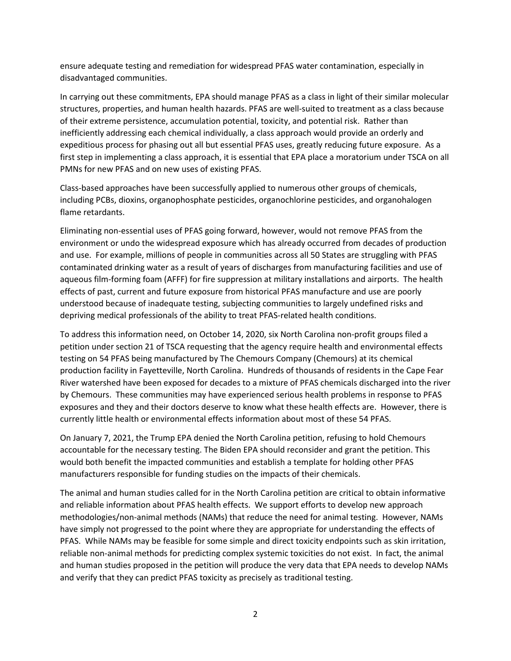ensure adequate testing and remediation for widespread PFAS water contamination, especially in disadvantaged communities.

In carrying out these commitments, EPA should manage PFAS as a class in light of their similar molecular structures, properties, and human health hazards. PFAS are well-suited to treatment as a class because of their extreme persistence, accumulation potential, toxicity, and potential risk. Rather than inefficiently addressing each chemical individually, a class approach would provide an orderly and expeditious process for phasing out all but essential PFAS uses, greatly reducing future exposure. As a first step in implementing a class approach, it is essential that EPA place a moratorium under TSCA on all PMNs for new PFAS and on new uses of existing PFAS.

Class-based approaches have been successfully applied to numerous other groups of chemicals, including PCBs, dioxins, organophosphate pesticides, organochlorine pesticides, and organohalogen flame retardants.

Eliminating non-essential uses of PFAS going forward, however, would not remove PFAS from the environment or undo the widespread exposure which has already occurred from decades of production and use. For example, millions of people in communities across all 50 States are struggling with PFAS contaminated drinking water as a result of years of discharges from manufacturing facilities and use of aqueous film-forming foam (AFFF) for fire suppression at military installations and airports. The health effects of past, current and future exposure from historical PFAS manufacture and use are poorly understood because of inadequate testing, subjecting communities to largely undefined risks and depriving medical professionals of the ability to treat PFAS-related health conditions.

To address this information need, on October 14, 2020, six North Carolina non-profit groups filed a petition under section 21 of TSCA requesting that the agency require health and environmental effects testing on 54 PFAS being manufactured by The Chemours Company (Chemours) at its chemical production facility in Fayetteville, North Carolina. Hundreds of thousands of residents in the Cape Fear River watershed have been exposed for decades to a mixture of PFAS chemicals discharged into the river by Chemours. These communities may have experienced serious health problems in response to PFAS exposures and they and their doctors deserve to know what these health effects are. However, there is currently little health or environmental effects information about most of these 54 PFAS.

On January 7, 2021, the Trump EPA denied the North Carolina petition, refusing to hold Chemours accountable for the necessary testing. The Biden EPA should reconsider and grant the petition. This would both benefit the impacted communities and establish a template for holding other PFAS manufacturers responsible for funding studies on the impacts of their chemicals.

The animal and human studies called for in the North Carolina petition are critical to obtain informative and reliable information about PFAS health effects. We support efforts to develop new approach methodologies/non-animal methods (NAMs) that reduce the need for animal testing. However, NAMs have simply not progressed to the point where they are appropriate for understanding the effects of PFAS. While NAMs may be feasible for some simple and direct toxicity endpoints such as skin irritation, reliable non-animal methods for predicting complex systemic toxicities do not exist. In fact, the animal and human studies proposed in the petition will produce the very data that EPA needs to develop NAMs and verify that they can predict PFAS toxicity as precisely as traditional testing.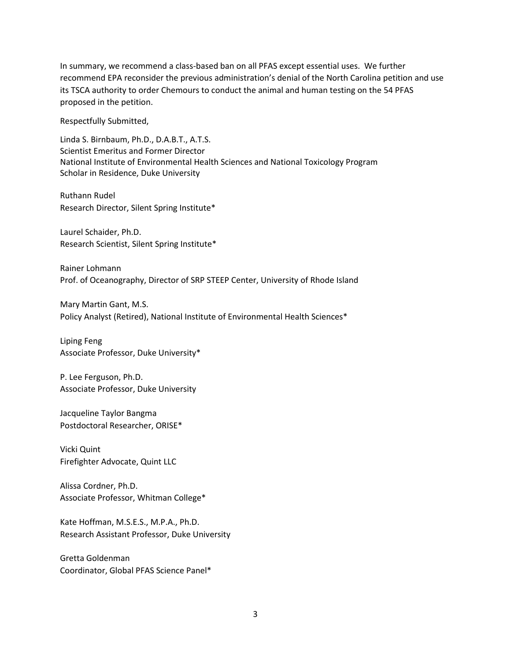In summary, we recommend a class-based ban on all PFAS except essential uses. We further recommend EPA reconsider the previous administration's denial of the North Carolina petition and use its TSCA authority to order Chemours to conduct the animal and human testing on the 54 PFAS proposed in the petition.

Respectfully Submitted,

Linda S. Birnbaum, Ph.D., D.A.B.T., A.T.S. Scientist Emeritus and Former Director National Institute of Environmental Health Sciences and National Toxicology Program Scholar in Residence, Duke University

Ruthann Rudel Research Director, Silent Spring Institute\*

Laurel Schaider, Ph.D. Research Scientist, Silent Spring Institute\*

Rainer Lohmann Prof. of Oceanography, Director of SRP STEEP Center, University of Rhode Island

Mary Martin Gant, M.S. Policy Analyst (Retired), National Institute of Environmental Health Sciences\*

Liping Feng Associate Professor, Duke University\*

P. Lee Ferguson, Ph.D. Associate Professor, Duke University

Jacqueline Taylor Bangma Postdoctoral Researcher, ORISE\*

Vicki Quint Firefighter Advocate, Quint LLC

Alissa Cordner, Ph.D. Associate Professor, Whitman College\*

Kate Hoffman, M.S.E.S., M.P.A., Ph.D. Research Assistant Professor, Duke University

Gretta Goldenman Coordinator, Global PFAS Science Panel\*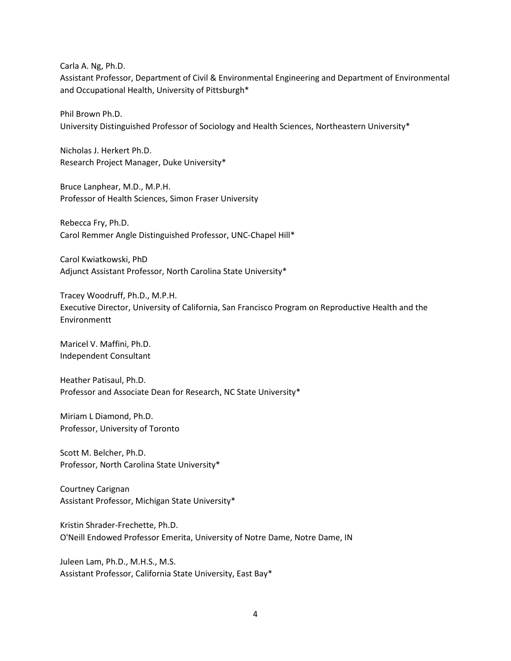Carla A. Ng, Ph.D.

Assistant Professor, Department of Civil & Environmental Engineering and Department of Environmental and Occupational Health, University of Pittsburgh\*

Phil Brown Ph.D. University Distinguished Professor of Sociology and Health Sciences, Northeastern University\*

Nicholas J. Herkert Ph.D. Research Project Manager, Duke University\*

Bruce Lanphear, M.D., M.P.H. Professor of Health Sciences, Simon Fraser University

Rebecca Fry, Ph.D. Carol Remmer Angle Distinguished Professor, UNC-Chapel Hill\*

Carol Kwiatkowski, PhD Adjunct Assistant Professor, North Carolina State University\*

Tracey Woodruff, Ph.D., M.P.H. Executive Director, University of California, San Francisco Program on Reproductive Health and the Environmentt

Maricel V. Maffini, Ph.D. Independent Consultant

Heather Patisaul, Ph.D. Professor and Associate Dean for Research, NC State University\*

Miriam L Diamond, Ph.D. Professor, University of Toronto

Scott M. Belcher, Ph.D. Professor, North Carolina State University\*

Courtney Carignan Assistant Professor, Michigan State University\*

Kristin Shrader-Frechette, Ph.D. O'Neill Endowed Professor Emerita, University of Notre Dame, Notre Dame, IN

Juleen Lam, Ph.D., M.H.S., M.S. Assistant Professor, California State University, East Bay\*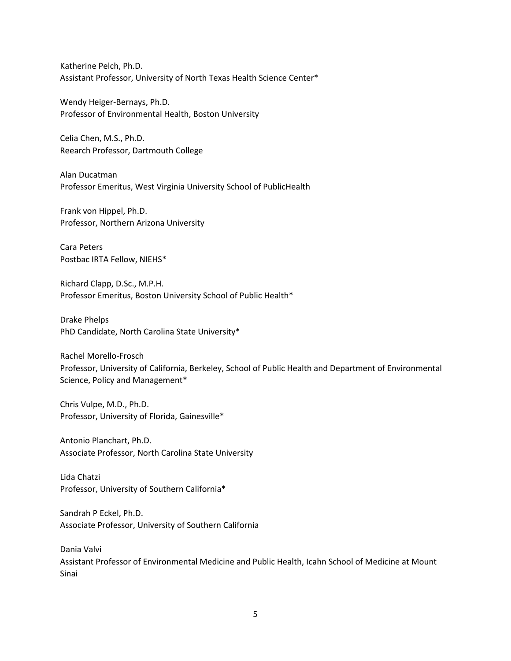Katherine Pelch, Ph.D. Assistant Professor, University of North Texas Health Science Center\*

Wendy Heiger-Bernays, Ph.D. Professor of Environmental Health, Boston University

Celia Chen, M.S., Ph.D. Reearch Professor, Dartmouth College

Alan Ducatman Professor Emeritus, West Virginia University School of PublicHealth

Frank von Hippel, Ph.D. Professor, Northern Arizona University

Cara Peters Postbac IRTA Fellow, NIEHS\*

Richard Clapp, D.Sc., M.P.H. Professor Emeritus, Boston University School of Public Health\*

Drake Phelps PhD Candidate, North Carolina State University\*

Rachel Morello-Frosch Professor, University of California, Berkeley, School of Public Health and Department of Environmental Science, Policy and Management\*

Chris Vulpe, M.D., Ph.D. Professor, University of Florida, Gainesville\*

Antonio Planchart, Ph.D. Associate Professor, North Carolina State University

Lida Chatzi Professor, University of Southern California\*

Sandrah P Eckel, Ph.D. Associate Professor, University of Southern California

Dania Valvi Assistant Professor of Environmental Medicine and Public Health, Icahn School of Medicine at Mount Sinai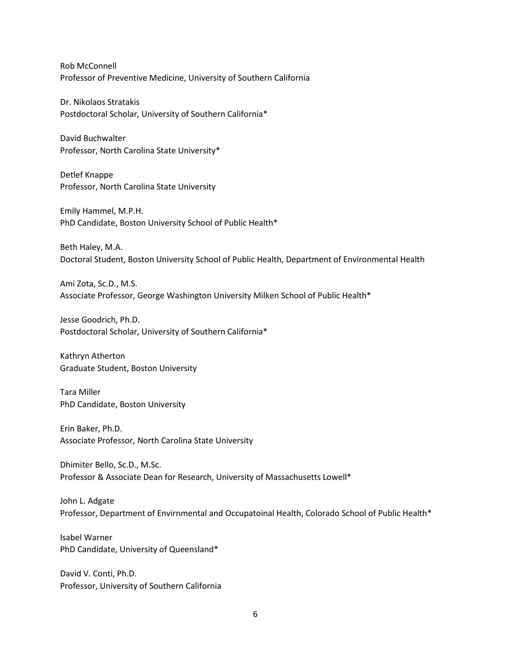Rob McConnell Professor of Preventive Medicine, University of Southern California

Dr. Nikolaos Stratakis Postdoctoral Scholar, University of Southern California\*

David Buchwalter Professor, North Carolina State University\*

Detlef Knappe Professor, North Carolina State University

Emily Hammel, M.P.H. PhD Candidate, Boston University School of Public Health\*

Beth Haley, M.A. Doctoral Student, Boston University School of Public Health, Department of Environmental Health

Ami Zota, Sc.D., M.S. Associate Professor, George Washington University Milken School of Public Health\*

Jesse Goodrich, Ph.D. Postdoctoral Scholar, University of Southern California\*

Kathryn Atherton Graduate Student, Boston University

Tara Miller PhD Candidate, Boston University

Erin Baker, Ph.D. Associate Professor, North Carolina State University

Dhimiter Bello, Sc.D., M.Sc. Professor & Associate Dean for Research, University of Massachusetts Lowell\*

John L. Adgate Professor, Department of Envirnmental and Occupatoinal Health, Colorado School of Public Health\*

Isabel Warner PhD Candidate, University of Queensland\*

David V. Conti, Ph.D. Professor, University of Southern California